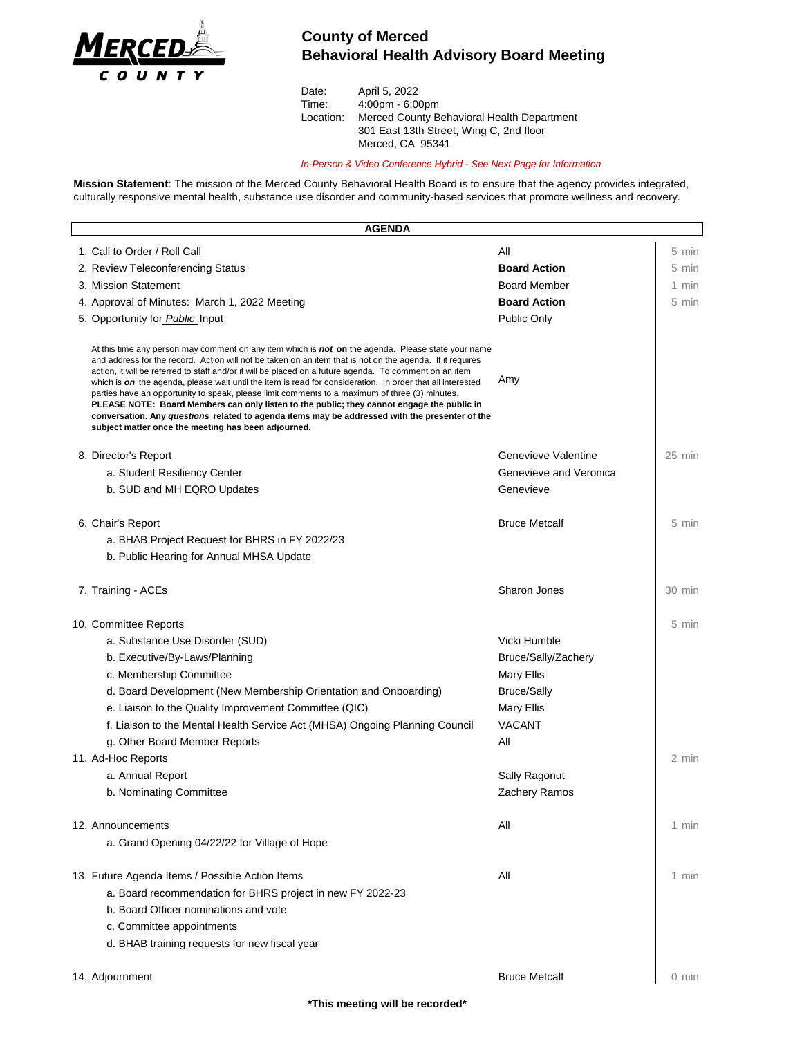

## **County of Merced Behavioral Health Advisory Board Meeting**

| April 5, 2022                              |
|--------------------------------------------|
| $4:00 \text{pm} - 6:00 \text{pm}$          |
| Merced County Behavioral Health Department |
| 301 East 13th Street, Wing C, 2nd floor    |
| Merced, CA 95341                           |
|                                            |

*In-Person & Video Conference Hybrid - See Next Page for Information*

**Mission Statement**: The mission of the Merced County Behavioral Health Board is to ensure that the agency provides integrated, culturally responsive mental health, substance use disorder and community-based services that promote wellness and recovery.

| <b>AGENDA</b>                                                                                                                                                                                                                                                                                                                                                                                                                                                                                                                                                                                                                                                                                                                                                                                            |                        |                 |
|----------------------------------------------------------------------------------------------------------------------------------------------------------------------------------------------------------------------------------------------------------------------------------------------------------------------------------------------------------------------------------------------------------------------------------------------------------------------------------------------------------------------------------------------------------------------------------------------------------------------------------------------------------------------------------------------------------------------------------------------------------------------------------------------------------|------------------------|-----------------|
| 1. Call to Order / Roll Call                                                                                                                                                                                                                                                                                                                                                                                                                                                                                                                                                                                                                                                                                                                                                                             | All                    | 5 min           |
| 2. Review Teleconferencing Status                                                                                                                                                                                                                                                                                                                                                                                                                                                                                                                                                                                                                                                                                                                                                                        | <b>Board Action</b>    | 5 min           |
| 3. Mission Statement                                                                                                                                                                                                                                                                                                                                                                                                                                                                                                                                                                                                                                                                                                                                                                                     | <b>Board Member</b>    | 1 min           |
| 4. Approval of Minutes: March 1, 2022 Meeting                                                                                                                                                                                                                                                                                                                                                                                                                                                                                                                                                                                                                                                                                                                                                            | <b>Board Action</b>    | $5 \text{ min}$ |
| 5. Opportunity for <b>Public</b> Input                                                                                                                                                                                                                                                                                                                                                                                                                                                                                                                                                                                                                                                                                                                                                                   | Public Only            |                 |
| At this time any person may comment on any item which is <b>not on</b> the agenda. Please state your name<br>and address for the record. Action will not be taken on an item that is not on the agenda. If it requires<br>action, it will be referred to staff and/or it will be placed on a future agenda. To comment on an item<br>which is on the agenda, please wait until the item is read for consideration. In order that all interested<br>parties have an opportunity to speak, please limit comments to a maximum of three (3) minutes.<br>PLEASE NOTE: Board Members can only listen to the public; they cannot engage the public in<br>conversation. Any questions related to agenda items may be addressed with the presenter of the<br>subject matter once the meeting has been adjourned. | Amy                    |                 |
| 8. Director's Report                                                                                                                                                                                                                                                                                                                                                                                                                                                                                                                                                                                                                                                                                                                                                                                     | Genevieve Valentine    | $25$ min        |
| a. Student Resiliency Center                                                                                                                                                                                                                                                                                                                                                                                                                                                                                                                                                                                                                                                                                                                                                                             | Genevieve and Veronica |                 |
| b. SUD and MH EQRO Updates                                                                                                                                                                                                                                                                                                                                                                                                                                                                                                                                                                                                                                                                                                                                                                               | Genevieve              |                 |
| 6. Chair's Report<br>a. BHAB Project Request for BHRS in FY 2022/23<br>b. Public Hearing for Annual MHSA Update                                                                                                                                                                                                                                                                                                                                                                                                                                                                                                                                                                                                                                                                                          | <b>Bruce Metcalf</b>   | 5 min           |
| 7. Training - ACEs                                                                                                                                                                                                                                                                                                                                                                                                                                                                                                                                                                                                                                                                                                                                                                                       | <b>Sharon Jones</b>    | 30 min          |
| 10. Committee Reports                                                                                                                                                                                                                                                                                                                                                                                                                                                                                                                                                                                                                                                                                                                                                                                    |                        | 5 min           |
| a. Substance Use Disorder (SUD)                                                                                                                                                                                                                                                                                                                                                                                                                                                                                                                                                                                                                                                                                                                                                                          | Vicki Humble           |                 |
| b. Executive/By-Laws/Planning                                                                                                                                                                                                                                                                                                                                                                                                                                                                                                                                                                                                                                                                                                                                                                            | Bruce/Sally/Zachery    |                 |
| c. Membership Committee                                                                                                                                                                                                                                                                                                                                                                                                                                                                                                                                                                                                                                                                                                                                                                                  | Mary Ellis             |                 |
| d. Board Development (New Membership Orientation and Onboarding)                                                                                                                                                                                                                                                                                                                                                                                                                                                                                                                                                                                                                                                                                                                                         | <b>Bruce/Sally</b>     |                 |
| e. Liaison to the Quality Improvement Committee (QIC)                                                                                                                                                                                                                                                                                                                                                                                                                                                                                                                                                                                                                                                                                                                                                    | <b>Mary Ellis</b>      |                 |
| f. Liaison to the Mental Health Service Act (MHSA) Ongoing Planning Council                                                                                                                                                                                                                                                                                                                                                                                                                                                                                                                                                                                                                                                                                                                              | <b>VACANT</b>          |                 |
| g. Other Board Member Reports                                                                                                                                                                                                                                                                                                                                                                                                                                                                                                                                                                                                                                                                                                                                                                            | All                    |                 |
| 11. Ad-Hoc Reports                                                                                                                                                                                                                                                                                                                                                                                                                                                                                                                                                                                                                                                                                                                                                                                       |                        | 2 min           |
| a. Annual Report                                                                                                                                                                                                                                                                                                                                                                                                                                                                                                                                                                                                                                                                                                                                                                                         | Sally Ragonut          |                 |
| b. Nominating Committee                                                                                                                                                                                                                                                                                                                                                                                                                                                                                                                                                                                                                                                                                                                                                                                  | Zachery Ramos          |                 |
|                                                                                                                                                                                                                                                                                                                                                                                                                                                                                                                                                                                                                                                                                                                                                                                                          |                        |                 |
| 12. Announcements                                                                                                                                                                                                                                                                                                                                                                                                                                                                                                                                                                                                                                                                                                                                                                                        | All                    | 1 min           |
| a. Grand Opening 04/22/22 for Village of Hope                                                                                                                                                                                                                                                                                                                                                                                                                                                                                                                                                                                                                                                                                                                                                            |                        |                 |
| 13. Future Agenda Items / Possible Action Items                                                                                                                                                                                                                                                                                                                                                                                                                                                                                                                                                                                                                                                                                                                                                          | All                    | 1 min           |
| a. Board recommendation for BHRS project in new FY 2022-23                                                                                                                                                                                                                                                                                                                                                                                                                                                                                                                                                                                                                                                                                                                                               |                        |                 |
| b. Board Officer nominations and vote                                                                                                                                                                                                                                                                                                                                                                                                                                                                                                                                                                                                                                                                                                                                                                    |                        |                 |
| c. Committee appointments                                                                                                                                                                                                                                                                                                                                                                                                                                                                                                                                                                                                                                                                                                                                                                                |                        |                 |
| d. BHAB training requests for new fiscal year                                                                                                                                                                                                                                                                                                                                                                                                                                                                                                                                                                                                                                                                                                                                                            |                        |                 |
|                                                                                                                                                                                                                                                                                                                                                                                                                                                                                                                                                                                                                                                                                                                                                                                                          |                        |                 |
| 14. Adjournment                                                                                                                                                                                                                                                                                                                                                                                                                                                                                                                                                                                                                                                                                                                                                                                          | <b>Bruce Metcalf</b>   | 0 min           |